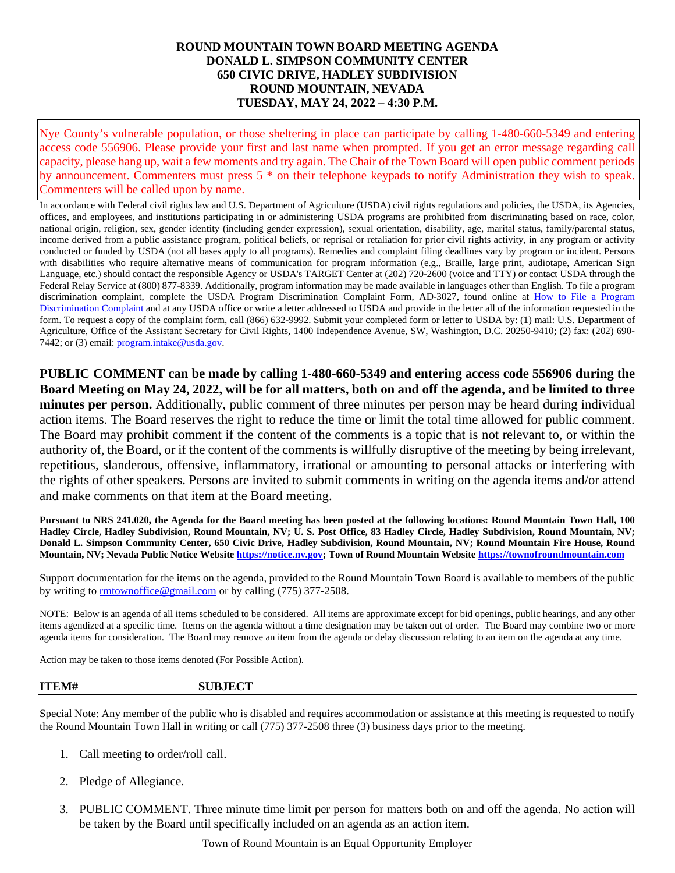## **ROUND MOUNTAIN TOWN BOARD MEETING AGENDA DONALD L. SIMPSON COMMUNITY CENTER 650 CIVIC DRIVE, HADLEY SUBDIVISION ROUND MOUNTAIN, NEVADA TUESDAY, MAY 24, 2022 – 4:30 P.M.**

Nye County's vulnerable population, or those sheltering in place can participate by calling 1-480-660-5349 and entering access code 556906. Please provide your first and last name when prompted. If you get an error message regarding call capacity, please hang up, wait a few moments and try again. The Chair of the Town Board will open public comment periods by announcement. Commenters must press 5 \* on their telephone keypads to notify Administration they wish to speak. Commenters will be called upon by name.

In accordance with Federal civil rights law and U.S. Department of Agriculture (USDA) civil rights regulations and policies, the USDA, its Agencies, offices, and employees, and institutions participating in or administering USDA programs are prohibited from discriminating based on race, color, national origin, religion, sex, gender identity (including gender expression), sexual orientation, disability, age, marital status, family/parental status, income derived from a public assistance program, political beliefs, or reprisal or retaliation for prior civil rights activity, in any program or activity conducted or funded by USDA (not all bases apply to all programs). Remedies and complaint filing deadlines vary by program or incident. Persons with disabilities who require alternative means of communication for program information (e.g., Braille, large print, audiotape, American Sign Language, etc.) should contact the responsible Agency or USDA's TARGET Center at (202) 720-2600 (voice and TTY) or contact USDA through the Federal Relay Service at (800) 877-8339. Additionally, program information may be made available in languages other than English. To file a program discrimination complaint, complete the USDA Program Discrimination Complaint Form, AD-3027, found online at How to File a Program [Discrimination Complaint](https://www.ascr.usda.gov/how-file-program-discrimination-complaint) and at any USDA office or write a letter addressed to USDA and provide in the letter all of the information requested in the form. To request a copy of the complaint form, call (866) 632-9992. Submit your completed form or letter to USDA by: (1) mail: U.S. Department of Agriculture, Office of the Assistant Secretary for Civil Rights, 1400 Independence Avenue, SW, Washington, D.C. 20250-9410; (2) fax: (202) 690 7442; or (3) email: [program.intake@usda.gov.](mailto:program.intake@usda.gov)

**PUBLIC COMMENT can be made by calling 1-480-660-5349 and entering access code 556906 during the Board Meeting on May 24, 2022, will be for all matters, both on and off the agenda, and be limited to three minutes per person.** Additionally, public comment of three minutes per person may be heard during individual action items. The Board reserves the right to reduce the time or limit the total time allowed for public comment. The Board may prohibit comment if the content of the comments is a topic that is not relevant to, or within the authority of, the Board, or if the content of the comments is willfully disruptive of the meeting by being irrelevant, repetitious, slanderous, offensive, inflammatory, irrational or amounting to personal attacks or interfering with the rights of other speakers. Persons are invited to submit comments in writing on the agenda items and/or attend and make comments on that item at the Board meeting.

**Pursuant to NRS 241.020, the Agenda for the Board meeting has been posted at the following locations: Round Mountain Town Hall, 100 Hadley Circle, Hadley Subdivision, Round Mountain, NV; U. S. Post Office, 83 Hadley Circle, Hadley Subdivision, Round Mountain, NV; Donald L. Simpson Community Center, 650 Civic Drive, Hadley Subdivision, Round Mountain, NV; Round Mountain Fire House, Round Mountain, NV; Nevada Public Notice Websit[e https://notice.nv.gov;](https://notice.nv.gov/) Town of Round Mountain Website [https://townofroundmountain.com](https://townofroundmountain.com/)**

Support documentation for the items on the agenda, provided to the Round Mountain Town Board is available to members of the public by writing to [rmtownoffice@gmail.com](mailto:rmtownoffice@gmail.com) or by calling (775) 377-2508.

NOTE: Below is an agenda of all items scheduled to be considered. All items are approximate except for bid openings, public hearings, and any other items agendized at a specific time. Items on the agenda without a time designation may be taken out of order. The Board may combine two or more agenda items for consideration. The Board may remove an item from the agenda or delay discussion relating to an item on the agenda at any time.

Action may be taken to those items denoted (For Possible Action).

## **ITEM# SUBJECT**

Special Note: Any member of the public who is disabled and requires accommodation or assistance at this meeting is requested to notify the Round Mountain Town Hall in writing or call (775) 377-2508 three (3) business days prior to the meeting.

- 1. Call meeting to order/roll call.
- 2. Pledge of Allegiance.
- 3. PUBLIC COMMENT. Three minute time limit per person for matters both on and off the agenda. No action will be taken by the Board until specifically included on an agenda as an action item.

Town of Round Mountain is an Equal Opportunity Employer